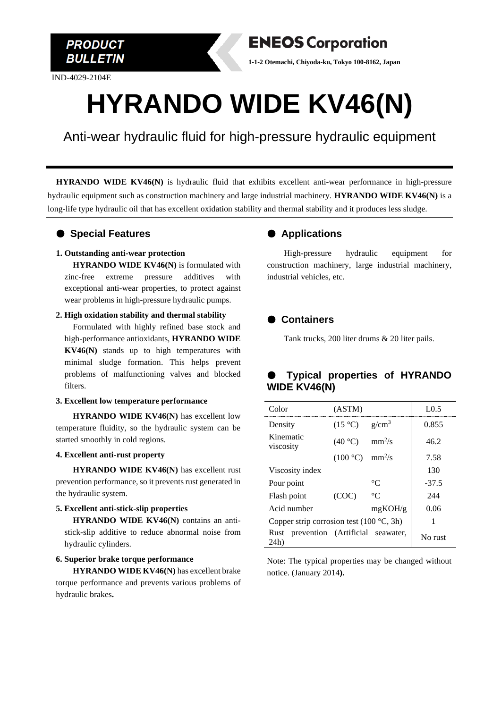

IND-4029-2104E



# **HYRANDO WIDE KV46(N)**

Anti-wear hydraulic fluid for high-pressure hydraulic equipment

**HYRANDO WIDE KV46(N)** is hydraulic fluid that exhibits excellent anti-wear performance in high-pressure hydraulic equipment such as construction machinery and large industrial machinery. **HYRANDO WIDE KV46(N)** is a long-life type hydraulic oil that has excellent oxidation stability and thermal stability and it produces less sludge.

### ● **Special Features**

#### **1. Outstanding anti-wear protection**

**HYRANDO WIDE KV46(N)** is formulated with zinc-free extreme pressure additives with exceptional anti-wear properties, to protect against wear problems in high-pressure hydraulic pumps.

#### **2. High oxidation stability and thermal stability**

Formulated with highly refined base stock and high-performance antioxidants, **HYRANDO WIDE KV46(N)** stands up to high temperatures with minimal sludge formation. This helps prevent problems of malfunctioning valves and blocked filters.

#### **3. Excellent low temperature performance**

**HYRANDO WIDE KV46(N)** has excellent low temperature fluidity, so the hydraulic system can be started smoothly in cold regions.

#### **4. Excellent anti-rust property**

**HYRANDO WIDE KV46(N)** has excellent rust prevention performance, so it prevents rust generated in the hydraulic system.

#### **5. Excellent anti-stick-slip properties**

**HYRANDO WIDE KV46(N)** contains an antistick-slip additive to reduce abnormal noise from hydraulic cylinders.

#### **6. Superior brake torque performance**

**HYRANDO WIDE KV46(N)** has excellent brake torque performance and prevents various problems of hydraulic brakes**.**

## ● **Applications**

High-pressure hydraulic equipment for construction machinery, large industrial machinery, industrial vehicles, etc.

## ● **Containers**

Tank trucks, 200 liter drums & 20 liter pails.

## ● **Typical properties of HYRANDO WIDE KV46(N)**

| Color                                             | (ASTM)                             |             | LO.5    |
|---------------------------------------------------|------------------------------------|-------------|---------|
| Density                                           | $(15 \degree C)$ g/cm <sup>3</sup> |             | 0.855   |
| Kinematic<br>viscosity                            | (40 °C)                            | $mm^2/s$    | 46.2    |
|                                                   | $(100 °C)$ mm <sup>2</sup> /s      |             | 7.58    |
| Viscosity index                                   |                                    |             | 130     |
| Pour point                                        |                                    | $^{\circ}C$ | $-37.5$ |
| Flash point                                       | (COC)                              | $^{\circ}C$ | 244     |
| Acid number                                       |                                    | mgKOH/g     | 0.06    |
| Copper strip corrosion test $(100 \degree C, 3h)$ |                                    |             |         |
| Rust prevention (Artificial seawater,<br>24h)     |                                    |             | No rust |

Note: The typical properties may be changed without notice. (January 2014**).**